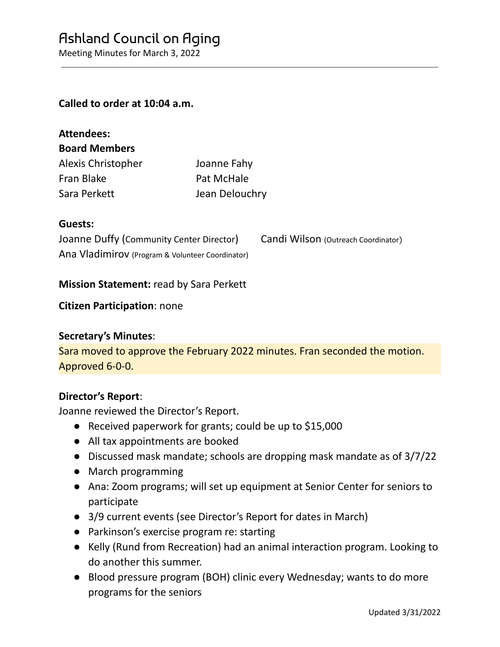Meeting Minutes for March 3, 2022

### **Called to order at 10:04 a.m.**

| Attendees:           |                |
|----------------------|----------------|
| <b>Board Members</b> |                |
| Alexis Christopher   | Joanne Fahy    |
| Fran Blake           | Pat McHale     |
| Sara Perkett         | Jean Delouchry |

### **Guests:**

**Attendees:**

| Joanne Duffy (Community Center Director)         | Candi Wilson (Outreach Coordinator) |
|--------------------------------------------------|-------------------------------------|
| Ana Vladimirov (Program & Volunteer Coordinator) |                                     |

### **Mission Statement:** read by Sara Perkett

### **Citizen Participation**: none

### **Secretary's Minutes**:

Sara moved to approve the February 2022 minutes. Fran seconded the motion. Approved 6-0-0.

### **Director's Report**:

Joanne reviewed the Director's Report.

- Received paperwork for grants; could be up to \$15,000
- All tax appointments are booked
- Discussed mask mandate; schools are dropping mask mandate as of 3/7/22
- March programming
- Ana: Zoom programs; will set up equipment at Senior Center for seniors to participate
- 3/9 current events (see Director's Report for dates in March)
- Parkinson's exercise program re: starting
- Kelly (Rund from Recreation) had an animal interaction program. Looking to do another this summer.
- Blood pressure program (BOH) clinic every Wednesday; wants to do more programs for the seniors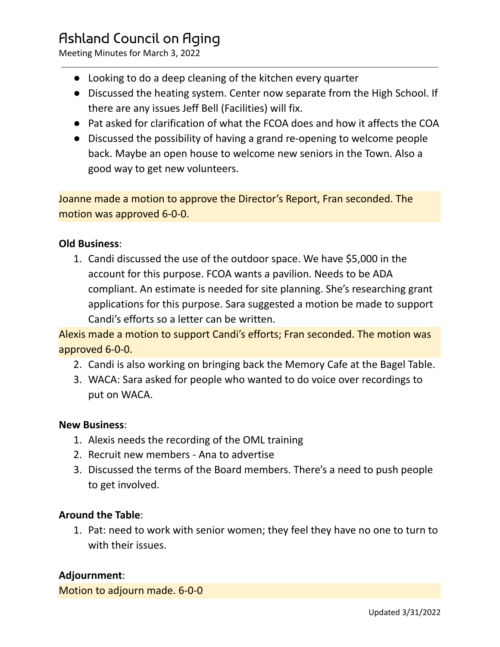# Ashland Council on Aging

Meeting Minutes for March 3, 2022

- Looking to do a deep cleaning of the kitchen every quarter
- Discussed the heating system. Center now separate from the High School. If there are any issues Jeff Bell (Facilities) will fix.
- Pat asked for clarification of what the FCOA does and how it affects the COA
- Discussed the possibility of having a grand re-opening to welcome people back. Maybe an open house to welcome new seniors in the Town. Also a good way to get new volunteers.

Joanne made a motion to approve the Director's Report, Fran seconded. The motion was approved 6-0-0.

## **Old Business**:

1. Candi discussed the use of the outdoor space. We have \$5,000 in the account for this purpose. FCOA wants a pavilion. Needs to be ADA compliant. An estimate is needed for site planning. She's researching grant applications for this purpose. Sara suggested a motion be made to support Candi's efforts so a letter can be written.

Alexis made a motion to support Candi's efforts; Fran seconded. The motion was approved 6-0-0.

- 2. Candi is also working on bringing back the Memory Cafe at the Bagel Table.
- 3. WACA: Sara asked for people who wanted to do voice over recordings to put on WACA.

## **New Business**:

- 1. Alexis needs the recording of the OML training
- 2. Recruit new members Ana to advertise
- 3. Discussed the terms of the Board members. There's a need to push people to get involved.

## **Around the Table**:

1. Pat: need to work with senior women; they feel they have no one to turn to with their issues.

## **Adjournment**:

Motion to adjourn made. 6-0-0